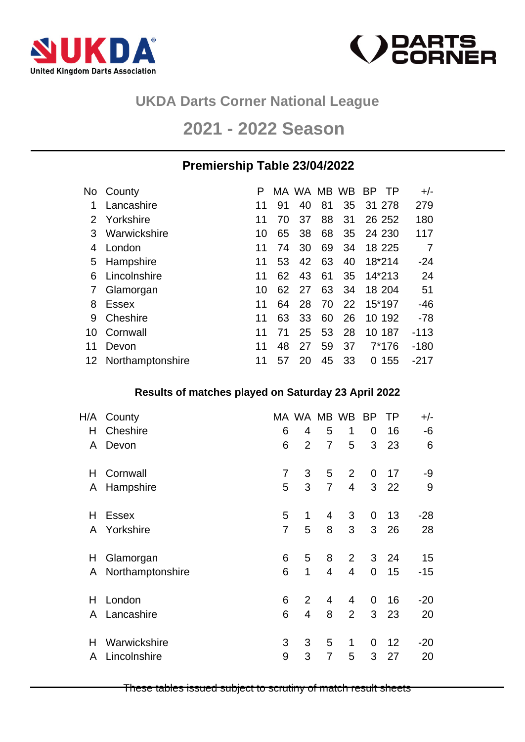



## **UKDA Darts Corner National League**

# **2021 - 2022 Season**

### **Premiership Table 23/04/2022**

|    | No County           |    |    | MA WA MB WB |    |    | <b>BP</b> | $+/-$  |
|----|---------------------|----|----|-------------|----|----|-----------|--------|
|    | Lancashire          | 11 | 91 | 40          | 81 | 35 | 31 278    | 279    |
| 2  | Yorkshire           | 11 | 70 | 37          | 88 | 31 | 26 25 2   | 180    |
| 3  | Warwickshire        | 10 | 65 | 38          | 68 | 35 | 24 230    | 117    |
| 4  | London              | 11 | 74 | 30          | 69 | 34 | 18 225    | 7      |
| 5  | Hampshire           | 11 | 53 | 42          | 63 | 40 | 18*214    | $-24$  |
| 6  | Lincolnshire        | 11 | 62 | 43          | 61 | 35 | 14*213    | 24     |
|    | Glamorgan           | 10 | 62 | 27          | 63 | 34 | 18 204    | 51     |
| 8  | Essex               | 11 | 64 | 28          | 70 | 22 | 15*197    | $-46$  |
| 9  | Cheshire            | 11 | 63 | 33          | 60 | 26 | 10 192    | $-78$  |
| 10 | Cornwall            | 11 | 71 | 25          | 53 | 28 | 10 187    | $-113$ |
| 11 | Devon               | 11 | 48 | 27          | 59 | 37 | 7*176     | $-180$ |
|    | 12 Northamptonshire | 11 | 57 | 20          | 45 | 33 | 155<br>0  | $-217$ |

#### **Results of matches played on Saturday 23 April 2022**

| H/A | County           |                | MA WA MB WB    |                |                | <b>BP</b>      | ΤP              | $+/-$ |
|-----|------------------|----------------|----------------|----------------|----------------|----------------|-----------------|-------|
| Η   | Cheshire         | 6              | 4              | 5              | 1              | 0              | 16              | -6    |
| A   | Devon            | 6              | $\overline{2}$ | $\overline{7}$ | 5              | 3              | 23              | 6     |
| Н   | Cornwall         | $\overline{7}$ | 3              | 5              | $\overline{2}$ | 0              | 17              | -9    |
| A   | Hampshire        | 5              | 3              | $\overline{7}$ | $\overline{4}$ |                | 3 <sub>22</sub> | 9     |
| н   | <b>Essex</b>     | 5              | 1              | 4              | 3              | 0              | 13              | $-28$ |
| A   | Yorkshire        | $\overline{7}$ | 5              | 8              | 3              | 3              | 26              | 28    |
| H   | Glamorgan        | 6              | 5              | 8              | $\overline{2}$ | 3              | 24              | 15    |
| A   | Northamptonshire | 6              | 1              | $\overline{4}$ | 4              | $\overline{0}$ | 15              | $-15$ |
| Н   | London           | 6              | $\overline{2}$ | 4              | 4              | 0              | 16              | $-20$ |
| A   | Lancashire       | 6              | 4              | 8              | $\overline{2}$ | 3              | 23              | 20    |
| Н   | Warwickshire     | 3              | 3              | 5              | 1              | 0              | 12              | $-20$ |
| A   | Lincolnshire     | 9              | 3              | 7              | 5              | 3              | 27              | 20    |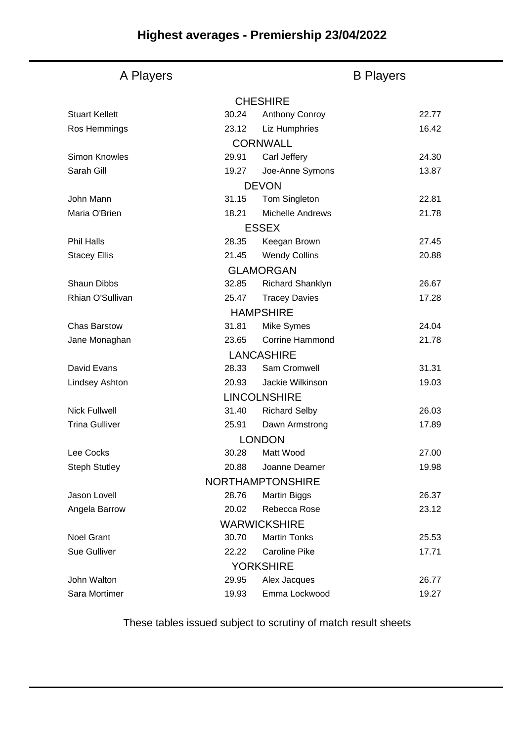#### A Players **B Players CHESHIRE CORNWALL** DEVON **FSSEX** GLAMORGAN HAMPSHIRE LANCASHIRE LINCOLNSHIRE LONDON NORTHAMPTONSHIRE WARWICKSHIRE **YORKSHIRE** Stuart Kellett **30.24** Anthony Conroy 22.77 Ros Hemmings 23.12 Liz Humphries 16.42 Simon Knowles 29.91 Carl Jeffery 24.30 Sarah Gill **19.27** Joe-Anne Symons 13.87 John Mann 31.15 Tom Singleton 22.81 Maria O'Brien 18.21 Michelle Andrews 21.78 Phil Halls 28.35 Keegan Brown 27.45 Stacey Ellis 20.88 Shaun Dibbs 32.85 Richard Shanklyn 26.67 Rhian O'Sullivan 25.47 Tracey Davies 17.28 Chas Barstow 31.81 Mike Symes 24.04 Jane Monaghan 23.65 Corrine Hammond 21.78 David Evans 28.33 Sam Cromwell 31.31 Lindsey Ashton 20.93 Jackie Wilkinson 19.03 Nick Fullwell 31.40 Richard Selby 26.03 Trina Gulliver **25.91** Dawn Armstrong 17.89 Lee Cocks 30.28 Matt Wood 27.00 Steph Stutley **20.88** Joanne Deamer 19.98 Jason Lovell 28.76 Martin Biggs 26.37 Angela Barrow **20.02** Rebecca Rose 23.12 Noel Grant 30.70 Martin Tonks 25.53 Sue Gulliver 22.22 Caroline Pike 17.71 John Walton 29.95 Alex Jacques 26.77

#### These tables issued subject to scrutiny of match result sheets

Sara Mortimer 19.93 Emma Lockwood 19.27